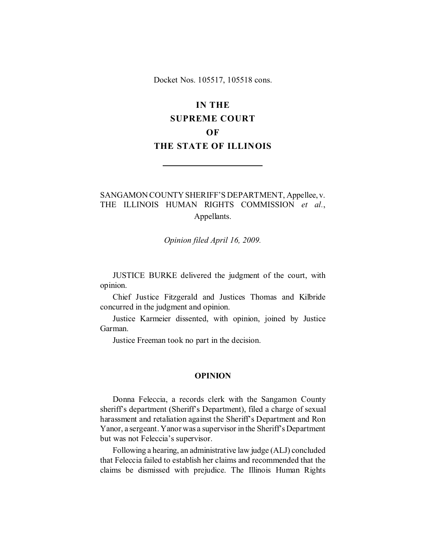Docket Nos. 105517, 105518 cons.

# **IN THE**

# **SUPREME COURT**

# **OF**

# **THE STATE OF ILLINOIS**

# SANGAMON COUNTY SHERIFF'S DEPARTMENT, Appellee, v. THE ILLINOIS HUMAN RIGHTS COMMISSION *et al.*, Appellants.

*Opinion filed April 16, 2009.*

JUSTICE BURKE delivered the judgment of the court, with opinion.

Chief Justice Fitzgerald and Justices Thomas and Kilbride concurred in the judgment and opinion.

Justice Karmeier dissented, with opinion, joined by Justice Garman.

Justice Freeman took no part in the decision.

### **OPINION**

Donna Feleccia, a records clerk with the Sangamon County sheriff's department (Sheriff's Department), filed a charge of sexual harassment and retaliation against the Sheriff's Department and Ron Yanor, a sergeant. Yanor was a supervisor in the Sheriff's Department but was not Feleccia's supervisor.

Following a hearing, an administrative law judge (ALJ) concluded that Feleccia failed to establish her claims and recommended that the claims be dismissed with prejudice. The Illinois Human Rights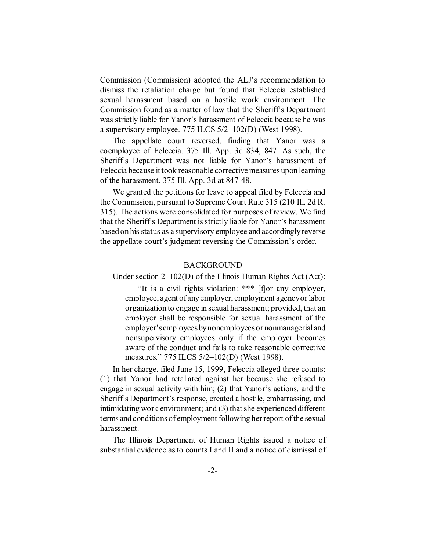Commission (Commission) adopted the ALJ's recommendation to dismiss the retaliation charge but found that Feleccia established sexual harassment based on a hostile work environment. The Commission found as a matter of law that the Sheriff's Department was strictly liable for Yanor's harassment of Feleccia because he was a supervisory employee. 775 ILCS 5/2–102(D) (West 1998).

The appellate court reversed, finding that Yanor was a coemployee of Feleccia. 375 Ill. App. 3d 834, 847. As such, the Sheriff's Department was not liable for Yanor's harassment of Feleccia because it took reasonable corrective measures upon learning of the harassment. 375 Ill. App. 3d at 847-48.

We granted the petitions for leave to appeal filed by Feleccia and the Commission, pursuant to Supreme Court Rule 315 (210 Ill. 2d R. 315). The actions were consolidated for purposes of review. We find that the Sheriff's Department is strictly liable for Yanor's harassment based on his status as a supervisory employee and accordingly reverse the appellate court's judgment reversing the Commission's order.

## BACKGROUND

Under section 2–102(D) of the Illinois Human Rights Act (Act):

"It is a civil rights violation: \*\*\* [f]or any employer, employee, agent of any employer, employment agency or labor organization to engage in sexual harassment; provided, that an employer shall be responsible for sexual harassment of the employer's employees by nonemployees or nonmanagerial and nonsupervisory employees only if the employer becomes aware of the conduct and fails to take reasonable corrective measures." 775 ILCS 5/2–102(D) (West 1998).

In her charge, filed June 15, 1999, Feleccia alleged three counts: (1) that Yanor had retaliated against her because she refused to engage in sexual activity with him; (2) that Yanor's actions, and the Sheriff's Department's response, created a hostile, embarrassing, and intimidating work environment; and (3) that she experienced different terms and conditions of employment following her report of the sexual harassment.

The Illinois Department of Human Rights issued a notice of substantial evidence as to counts I and II and a notice of dismissal of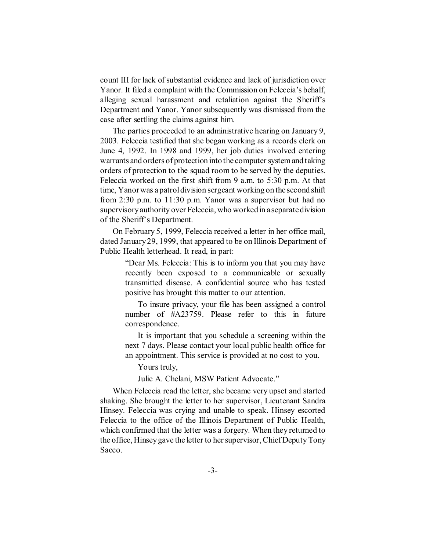count III for lack of substantial evidence and lack of jurisdiction over Yanor. It filed a complaint with the Commission on Feleccia's behalf, alleging sexual harassment and retaliation against the Sheriff's Department and Yanor. Yanor subsequently was dismissed from the case after settling the claims against him.

The parties proceeded to an administrative hearing on January 9, 2003. Feleccia testified that she began working as a records clerk on June 4, 1992. In 1998 and 1999, her job duties involved entering warrants and orders of protection into the computer system and taking orders of protection to the squad room to be served by the deputies. Feleccia worked on the first shift from 9 a.m. to 5:30 p.m. At that time, Yanor was a patrol division sergeant working on the second shift from 2:30 p.m. to 11:30 p.m. Yanor was a supervisor but had no supervisory authority over Feleccia, who worked in a separate division of the Sheriff's Department.

On February 5, 1999, Feleccia received a letter in her office mail, dated January 29, 1999, that appeared to be on Illinois Department of Public Health letterhead. It read, in part:

> "Dear Ms. Feleccia: This is to inform you that you may have recently been exposed to a communicable or sexually transmitted disease. A confidential source who has tested positive has brought this matter to our attention.

> To insure privacy, your file has been assigned a control number of #A23759. Please refer to this in future correspondence.

> It is important that you schedule a screening within the next 7 days. Please contact your local public health office for an appointment. This service is provided at no cost to you.

Yours truly,

Julie A. Chelani, MSW Patient Advocate."

When Feleccia read the letter, she became very upset and started shaking. She brought the letter to her supervisor, Lieutenant Sandra Hinsey. Feleccia was crying and unable to speak. Hinsey escorted Feleccia to the office of the Illinois Department of Public Health, which confirmed that the letter was a forgery. When they returned to the office, Hinsey gave the letter to her supervisor, Chief Deputy Tony Sacco.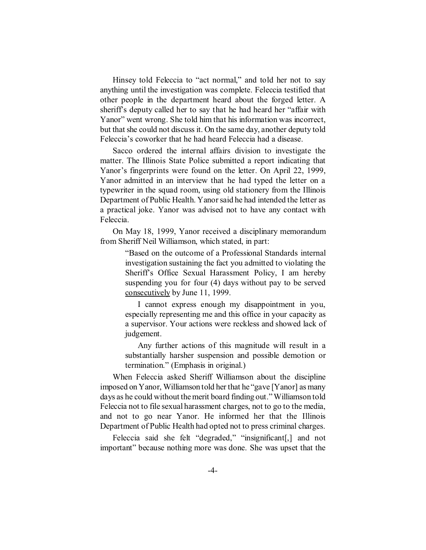Hinsey told Feleccia to "act normal," and told her not to say anything until the investigation was complete. Feleccia testified that other people in the department heard about the forged letter. A sheriff's deputy called her to say that he had heard her "affair with Yanor" went wrong. She told him that his information was incorrect, but that she could not discuss it. On the same day, another deputy told Feleccia's coworker that he had heard Feleccia had a disease.

Sacco ordered the internal affairs division to investigate the matter. The Illinois State Police submitted a report indicating that Yanor's fingerprints were found on the letter. On April 22, 1999, Yanor admitted in an interview that he had typed the letter on a typewriter in the squad room, using old stationery from the Illinois Department of Public Health. Yanor said he had intended the letter as a practical joke. Yanor was advised not to have any contact with Feleccia.

On May 18, 1999, Yanor received a disciplinary memorandum from Sheriff Neil Williamson, which stated, in part:

> "Based on the outcome of a Professional Standards internal investigation sustaining the fact you admitted to violating the Sheriff's Office Sexual Harassment Policy, I am hereby suspending you for four (4) days without pay to be served consecutively by June 11, 1999.

> I cannot express enough my disappointment in you, especially representing me and this office in your capacity as a supervisor. Your actions were reckless and showed lack of judgement.

> Any further actions of this magnitude will result in a substantially harsher suspension and possible demotion or termination." (Emphasis in original.)

When Feleccia asked Sheriff Williamson about the discipline imposed on Yanor, Williamson told her that he "gave [Yanor] as many days as he could without the merit board finding out." Williamson told Feleccia not to file sexual harassment charges, not to go to the media, and not to go near Yanor. He informed her that the Illinois Department of Public Health had opted not to press criminal charges.

Feleccia said she felt "degraded," "insignificant<sup>[1]</sup>, and not important" because nothing more was done. She was upset that the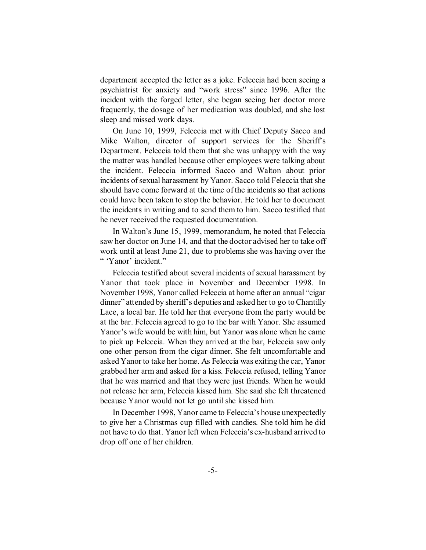department accepted the letter as a joke. Feleccia had been seeing a psychiatrist for anxiety and "work stress" since 1996. After the incident with the forged letter, she began seeing her doctor more frequently, the dosage of her medication was doubled, and she lost sleep and missed work days.

On June 10, 1999, Feleccia met with Chief Deputy Sacco and Mike Walton, director of support services for the Sheriff's Department. Feleccia told them that she was unhappy with the way the matter was handled because other employees were talking about the incident. Feleccia informed Sacco and Walton about prior incidents of sexual harassment by Yanor. Sacco told Feleccia that she should have come forward at the time of the incidents so that actions could have been taken to stop the behavior. He told her to document the incidents in writing and to send them to him. Sacco testified that he never received the requested documentation.

In Walton's June 15, 1999, memorandum, he noted that Feleccia saw her doctor on June 14, and that the doctor advised her to take off work until at least June 21, due to problems she was having over the " 'Yanor' incident."

Feleccia testified about several incidents of sexual harassment by Yanor that took place in November and December 1998. In November 1998, Yanor called Feleccia at home after an annual "cigar dinner" attended by sheriff's deputies and asked her to go to Chantilly Lace, a local bar. He told her that everyone from the party would be at the bar. Feleccia agreed to go to the bar with Yanor. She assumed Yanor's wife would be with him, but Yanor was alone when he came to pick up Feleccia. When they arrived at the bar, Feleccia saw only one other person from the cigar dinner. She felt uncomfortable and asked Yanor to take her home. As Feleccia was exiting the car, Yanor grabbed her arm and asked for a kiss. Feleccia refused, telling Yanor that he was married and that they were just friends. When he would not release her arm, Feleccia kissed him. She said she felt threatened because Yanor would not let go until she kissed him.

In December 1998, Yanor came to Feleccia's house unexpectedly to give her a Christmas cup filled with candies. She told him he did not have to do that. Yanor left when Feleccia's ex-husband arrived to drop off one of her children.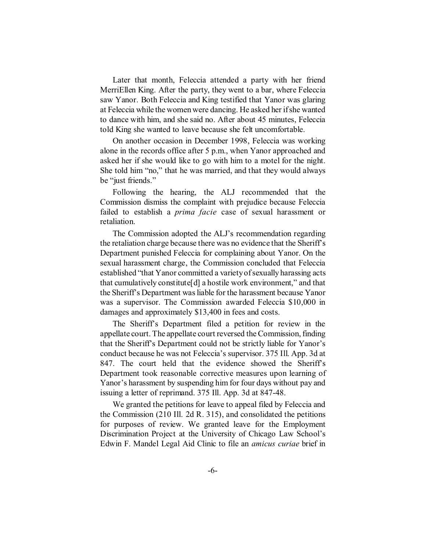Later that month, Feleccia attended a party with her friend MerriEllen King. After the party, they went to a bar, where Feleccia saw Yanor. Both Feleccia and King testified that Yanor was glaring at Feleccia while the women were dancing. He asked her if she wanted to dance with him, and she said no. After about 45 minutes, Feleccia told King she wanted to leave because she felt uncomfortable.

On another occasion in December 1998, Feleccia was working alone in the records office after 5 p.m., when Yanor approached and asked her if she would like to go with him to a motel for the night. She told him "no," that he was married, and that they would always be "just friends."

Following the hearing, the ALJ recommended that the Commission dismiss the complaint with prejudice because Feleccia failed to establish a *prima facie* case of sexual harassment or retaliation.

The Commission adopted the ALJ's recommendation regarding the retaliation charge because there was no evidence that the Sheriff's Department punished Feleccia for complaining about Yanor. On the sexual harassment charge, the Commission concluded that Feleccia established "that Yanor committed a variety of sexually harassing acts that cumulatively constitute[d] a hostile work environment," and that the Sheriff's Department was liable for the harassment because Yanor was a supervisor. The Commission awarded Feleccia \$10,000 in damages and approximately \$13,400 in fees and costs.

The Sheriff's Department filed a petition for review in the appellate court. The appellate court reversed the Commission, finding that the Sheriff's Department could not be strictly liable for Yanor's conduct because he was not Feleccia's supervisor. 375 Ill. App. 3d at 847. The court held that the evidence showed the Sheriff's Department took reasonable corrective measures upon learning of Yanor's harassment by suspending him for four days without pay and issuing a letter of reprimand. 375 Ill. App. 3d at 847-48.

We granted the petitions for leave to appeal filed by Feleccia and the Commission (210 Ill. 2d R. 315), and consolidated the petitions for purposes of review. We granted leave for the Employment Discrimination Project at the University of Chicago Law School's Edwin F. Mandel Legal Aid Clinic to file an *amicus curiae* brief in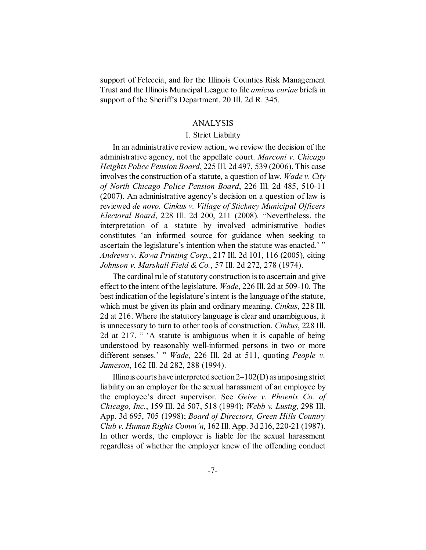support of Feleccia, and for the Illinois Counties Risk Management Trust and the Illinois Municipal League to file *amicus curiae* briefs in support of the Sheriff's Department. 20 Ill. 2d R. 345.

## ANALYSIS

## I. Strict Liability

In an administrative review action, we review the decision of the administrative agency, not the appellate court. *Marconi v. Chicago Heights Police Pension Board*, 225 Ill. 2d 497, 539 (2006). This case involves the construction of a statute, a question of law*. Wade v. City of North Chicago Police Pension Board*, 226 Ill. 2d 485, 510-11 (2007). An administrative agency's decision on a question of law is reviewed *de novo. Cinkus v. Village of Stickney Municipal Officers Electoral Board*, 228 Ill. 2d 200, 211 (2008). "Nevertheless, the interpretation of a statute by involved administrative bodies constitutes 'an informed source for guidance when seeking to ascertain the legislature's intention when the statute was enacted.'" *Andrews v. Kowa Printing Corp.*, 217 Ill. 2d 101, 116 (2005), citing *Johnson v. Marshall Field & Co.*, 57 Ill. 2d 272, 278 (1974).

The cardinal rule of statutory construction is to ascertain and give effect to the intent of the legislature. *Wade*, 226 Ill. 2d at 509-10. The best indication of the legislature's intent is the language of the statute, which must be given its plain and ordinary meaning. *Cinkus*, 228 Ill. 2d at 216. Where the statutory language is clear and unambiguous, it is unnecessary to turn to other tools of construction. *Cinkus*, 228 Ill. 2d at 217. " 'A statute is ambiguous when it is capable of being understood by reasonably well-informed persons in two or more different senses.' " *Wade*, 226 Ill. 2d at 511, quoting *People v. Jameson*, 162 Ill. 2d 282, 288 (1994).

Illinois courts have interpreted section 2–102(D) as imposing strict liability on an employer for the sexual harassment of an employee by the employee's direct supervisor. See *Geise v. Phoenix Co. of Chicago, Inc.*, 159 Ill. 2d 507, 518 (1994); *Webb v. Lustig*, 298 Ill. App. 3d 695, 705 (1998); *Board of Directors, Green Hills Country Club v. Human Rights Comm'n*, 162 Ill. App. 3d 216, 220-21 (1987). In other words, the employer is liable for the sexual harassment regardless of whether the employer knew of the offending conduct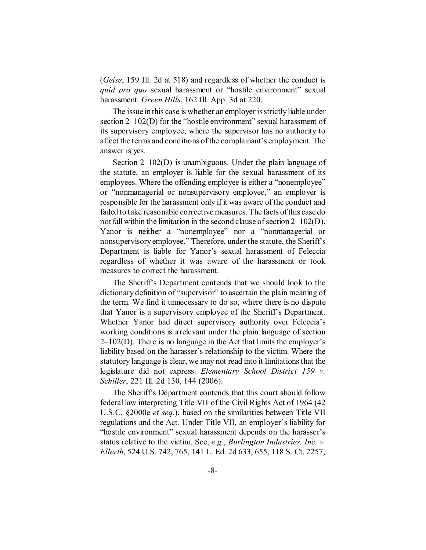(*Geise*, 159 Ill. 2d at 518) and regardless of whether the conduct is *quid pro quo* sexual harassment or "hostile environment" sexual harassment. *Green Hills*, 162 Ill. App. 3d at 220.

The issue in this case is whether an employer is strictly liable under section 2–102(D) for the "hostile environment" sexual harassment of its supervisory employee, where the supervisor has no authority to affect the terms and conditions of the complainant's employment. The answer is yes.

Section 2–102(D) is unambiguous. Under the plain language of the statute, an employer is liable for the sexual harassment of its employees. Where the offending employee is either a "nonemployee" or "nonmanagerial or nonsupervisory employee," an employer is responsible for the harassment only if it was aware of the conduct and failed to take reasonable corrective measures. The facts of this case do not fall within the limitation in the second clause of section 2–102(D). Yanor is neither a "nonemployee" nor a "nonmanagerial or nonsupervisory employee." Therefore, under the statute, the Sheriff's Department is liable for Yanor's sexual harassment of Feleccia regardless of whether it was aware of the harassment or took measures to correct the harassment.

The Sheriff's Department contends that we should look to the dictionary definition of "supervisor" to ascertain the plain meaning of the term. We find it unnecessary to do so, where there is no dispute that Yanor is a supervisory employee of the Sheriff's Department. Whether Yanor had direct supervisory authority over Feleccia's working conditions is irrelevant under the plain language of section  $2-102(D)$ . There is no language in the Act that limits the employer's liability based on the harasser's relationship to the victim. Where the statutory language is clear, we may not read into it limitations that the legislature did not express. *Elementary School District 159 v. Schiller*, 221 Ill. 2d 130, 144 (2006).

The Sheriff's Department contends that this court should follow federal law interpreting Title VII of the Civil Rights Act of 1964 (42 U.S.C. §2000e *et seq.*), based on the similarities between Title VII regulations and the Act. Under Title VII, an employer's liability for "hostile environment" sexual harassment depends on the harasser's status relative to the victim. See, *e.g.*, *Burlington Industries, Inc. v. Ellerth*, 524 U.S. 742, 765, 141 L. Ed. 2d 633, 655, 118 S. Ct. 2257,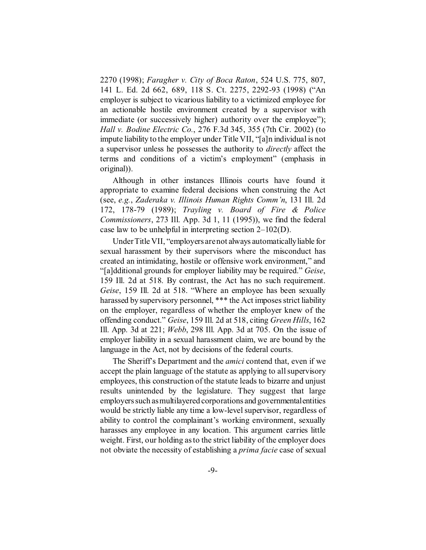2270 (1998); *Faragher v. City of Boca Raton*, 524 U.S. 775, 807, 141 L. Ed. 2d 662, 689, 118 S. Ct. 2275, 2292-93 (1998) ("An employer is subject to vicarious liability to a victimized employee for an actionable hostile environment created by a supervisor with immediate (or successively higher) authority over the employee"); *Hall v. Bodine Electric Co.*, 276 F.3d 345, 355 (7th Cir. 2002) (to impute liability to the employer under Title VII, "[a]n individual is not a supervisor unless he possesses the authority to *directly* affect the terms and conditions of a victim's employment" (emphasis in original)).

Although in other instances Illinois courts have found it appropriate to examine federal decisions when construing the Act (see, *e.g.*, *Zaderaka v. Illinois Human Rights Comm'n*, 131 Ill. 2d 172, 178-79 (1989); *Trayling v. Board of Fire & Police Commissioners*, 273 Ill. App. 3d 1, 11 (1995)), we find the federal case law to be unhelpful in interpreting section 2–102(D).

Under Title VII, "employers are not always automatically liable for sexual harassment by their supervisors where the misconduct has created an intimidating, hostile or offensive work environment," and "[a]dditional grounds for employer liability may be required." *Geise*, 159 Ill. 2d at 518. By contrast, the Act has no such requirement. *Geise*, 159 Ill. 2d at 518. "Where an employee has been sexually harassed by supervisory personnel, \*\*\* the Act imposes strict liability on the employer, regardless of whether the employer knew of the offending conduct." *Geise*, 159 Ill. 2d at 518, citing *Green Hills*, 162 Ill. App. 3d at 221; *Webb*, 298 Ill. App. 3d at 705. On the issue of employer liability in a sexual harassment claim, we are bound by the language in the Act, not by decisions of the federal courts.

The Sheriff's Department and the *amici* contend that, even if we accept the plain language of the statute as applying to all supervisory employees, this construction of the statute leads to bizarre and unjust results unintended by the legislature. They suggest that large employers such as multilayered corporations and governmentalentities would be strictly liable any time a low-level supervisor, regardless of ability to control the complainant's working environment, sexually harasses any employee in any location. This argument carries little weight. First, our holding as to the strict liability of the employer does not obviate the necessity of establishing a *prima facie* case of sexual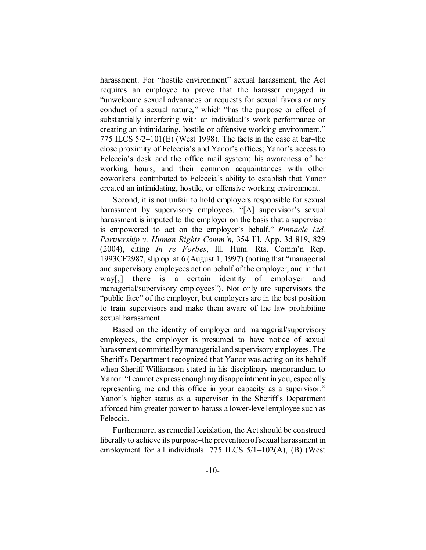harassment. For "hostile environment" sexual harassment, the Act requires an employee to prove that the harasser engaged in "unwelcome sexual advanaces or requests for sexual favors or any conduct of a sexual nature," which "has the purpose or effect of substantially interfering with an individual's work performance or creating an intimidating, hostile or offensive working environment." 775 ILCS 5/2–101(E) (West 1998). The facts in the case at bar–the close proximity of Feleccia's and Yanor's offices; Yanor's access to Feleccia's desk and the office mail system; his awareness of her working hours; and their common acquaintances with other coworkers–contributed to Feleccia's ability to establish that Yanor created an intimidating, hostile, or offensive working environment.

Second, it is not unfair to hold employers responsible for sexual harassment by supervisory employees. "[A] supervisor's sexual harassment is imputed to the employer on the basis that a supervisor is empowered to act on the employer's behalf." *Pinnacle Ltd. Partnership v. Human Rights Comm'n*, 354 Ill. App. 3d 819, 829 (2004), citing *In re Forbes*, Ill. Hum. Rts. Comm'n Rep. 1993CF2987, slip op. at 6 (August 1, 1997) (noting that "managerial and supervisory employees act on behalf of the employer, and in that way[,] there is a certain identity of employer and managerial/supervisory employees"). Not only are supervisors the "public face" of the employer, but employers are in the best position to train supervisors and make them aware of the law prohibiting sexual harassment.

Based on the identity of employer and managerial/supervisory employees, the employer is presumed to have notice of sexual harassment committed by managerial and supervisory employees. The Sheriff's Department recognized that Yanor was acting on its behalf when Sheriff Williamson stated in his disciplinary memorandum to Yanor: "I cannot express enough my disappointment in you, especially representing me and this office in your capacity as a supervisor." Yanor's higher status as a supervisor in the Sheriff's Department afforded him greater power to harass a lower-level employee such as Feleccia.

Furthermore, as remedial legislation, the Act should be construed liberally to achieve its purpose–the prevention of sexual harassment in employment for all individuals. 775 ILCS 5/1–102(A), (B) (West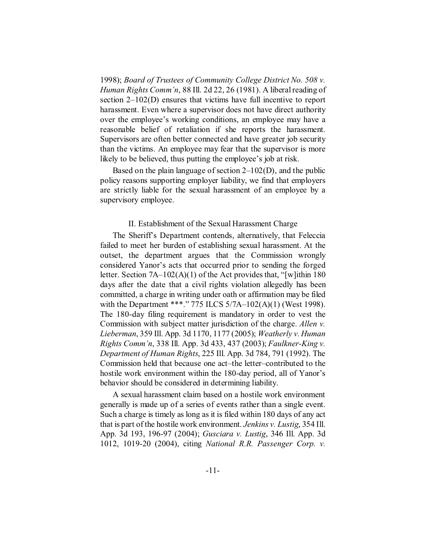1998); *Board of Trustees of Community College District No. 508 v. Human Rights Comm'n*, 88 Ill. 2d 22, 26 (1981). A liberal reading of section 2–102(D) ensures that victims have full incentive to report harassment. Even where a supervisor does not have direct authority over the employee's working conditions, an employee may have a reasonable belief of retaliation if she reports the harassment. Supervisors are often better connected and have greater job security than the victims. An employee may fear that the supervisor is more likely to be believed, thus putting the employee's job at risk.

Based on the plain language of section 2–102(D), and the public policy reasons supporting employer liability, we find that employers are strictly liable for the sexual harassment of an employee by a supervisory employee.

#### II. Establishment of the Sexual Harassment Charge

The Sheriff's Department contends, alternatively, that Feleccia failed to meet her burden of establishing sexual harassment. At the outset, the department argues that the Commission wrongly considered Yanor's acts that occurred prior to sending the forged letter. Section 7A–102(A)(1) of the Act provides that, "[w]ithin 180 days after the date that a civil rights violation allegedly has been committed, a charge in writing under oath or affirmation may be filed with the Department \*\*\*." 775 ILCS 5/7A-102(A)(1) (West 1998). The 180-day filing requirement is mandatory in order to vest the Commission with subject matter jurisdiction of the charge. *Allen v. Lieberman*, 359 Ill. App. 3d 1170, 1177 (2005); *Weatherly v. Human Rights Comm'n*, 338 Ill. App. 3d 433, 437 (2003); *Faulkner-King v. Department of Human Rights*, 225 Ill. App. 3d 784, 791 (1992). The Commission held that because one act–the letter–contributed to the hostile work environment within the 180-day period, all of Yanor's behavior should be considered in determining liability.

A sexual harassment claim based on a hostile work environment generally is made up of a series of events rather than a single event. Such a charge is timely as long as it is filed within 180 days of any act that is part of the hostile work environment. *Jenkins v. Lustig*, 354 Ill. App. 3d 193, 196-97 (2004); *Gusciara v. Lustig*, 346 Ill. App. 3d 1012, 1019-20 (2004), citing *National R.R. Passenger Corp. v.*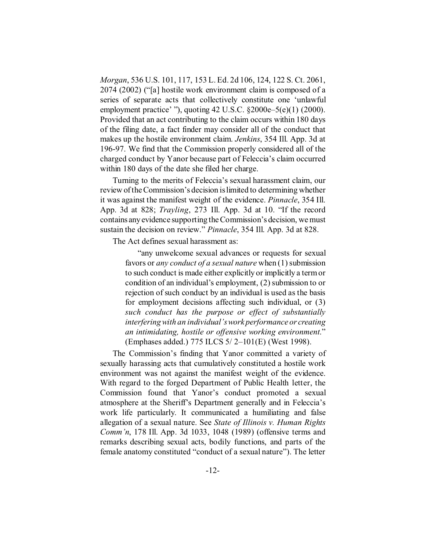*Morgan*, 536 U.S. 101, 117, 153 L. Ed. 2d 106, 124, 122 S. Ct. 2061, 2074 (2002) ("[a] hostile work environment claim is composed of a series of separate acts that collectively constitute one 'unlawful employment practice' "), quoting 42 U.S.C. §2000e–5(e)(1) (2000). Provided that an act contributing to the claim occurs within 180 days of the filing date, a fact finder may consider all of the conduct that makes up the hostile environment claim. *Jenkins*, 354 Ill. App. 3d at 196-97. We find that the Commission properly considered all of the charged conduct by Yanor because part of Feleccia's claim occurred within 180 days of the date she filed her charge.

Turning to the merits of Feleccia's sexual harassment claim, our review of the Commission's decision is limited to determining whether it was against the manifest weight of the evidence. *Pinnacle*, 354 Ill. App. 3d at 828; *Trayling*, 273 Ill. App. 3d at 10. "If the record contains any evidence supporting the Commission's decision, we must sustain the decision on review." *Pinnacle*, 354 Ill. App. 3d at 828.

The Act defines sexual harassment as:

"any unwelcome sexual advances or requests for sexual favors or *any conduct of a sexual nature* when (1) submission to such conduct is made either explicitly or implicitly a term or condition of an individual's employment, (2) submission to or rejection of such conduct by an individual is used as the basis for employment decisions affecting such individual, or (3) *such conduct has the purpose or effect of substantially interfering with an individual's work performance or creating an intimidating, hostile or offensive working environment*." (Emphases added.) 775 ILCS 5/ 2–101(E) (West 1998).

The Commission's finding that Yanor committed a variety of sexually harassing acts that cumulatively constituted a hostile work environment was not against the manifest weight of the evidence. With regard to the forged Department of Public Health letter, the Commission found that Yanor's conduct promoted a sexual atmosphere at the Sheriff's Department generally and in Feleccia's work life particularly. It communicated a humiliating and false allegation of a sexual nature. See *State of Illinois v. Human Rights Comm'n*, 178 Ill. App. 3d 1033, 1048 (1989) (offensive terms and remarks describing sexual acts, bodily functions, and parts of the female anatomy constituted "conduct of a sexual nature"). The letter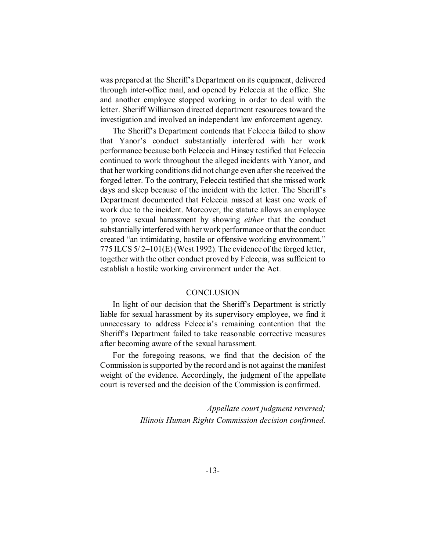was prepared at the Sheriff's Department on its equipment, delivered through inter-office mail, and opened by Feleccia at the office. She and another employee stopped working in order to deal with the letter. Sheriff Williamson directed department resources toward the investigation and involved an independent law enforcement agency.

The Sheriff's Department contends that Feleccia failed to show that Yanor's conduct substantially interfered with her work performance because both Feleccia and Hinsey testified that Feleccia continued to work throughout the alleged incidents with Yanor, and that her working conditions did not change even after she received the forged letter. To the contrary, Feleccia testified that she missed work days and sleep because of the incident with the letter. The Sheriff's Department documented that Feleccia missed at least one week of work due to the incident. Moreover, the statute allows an employee to prove sexual harassment by showing *either* that the conduct substantially interfered with her work performance or that the conduct created "an intimidating, hostile or offensive working environment." 775 ILCS 5/ 2–101(E) (West 1992). The evidence of the forged letter, together with the other conduct proved by Feleccia, was sufficient to establish a hostile working environment under the Act.

## **CONCLUSION**

In light of our decision that the Sheriff's Department is strictly liable for sexual harassment by its supervisory employee, we find it unnecessary to address Feleccia's remaining contention that the Sheriff's Department failed to take reasonable corrective measures after becoming aware of the sexual harassment.

For the foregoing reasons, we find that the decision of the Commission is supported by the record and is not against the manifest weight of the evidence. Accordingly, the judgment of the appellate court is reversed and the decision of the Commission is confirmed.

> *Appellate court judgment reversed; Illinois Human Rights Commission decision confirmed.*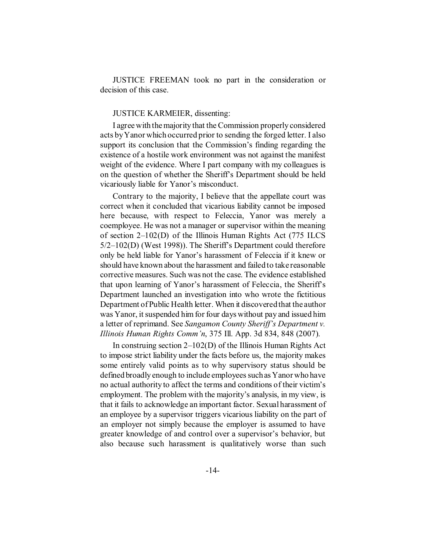JUSTICE FREEMAN took no part in the consideration or decision of this case.

#### JUSTICE KARMEIER, dissenting:

I agree with the majority that the Commission properly considered acts by Yanor which occurred prior to sending the forged letter. I also support its conclusion that the Commission's finding regarding the existence of a hostile work environment was not against the manifest weight of the evidence. Where I part company with my colleagues is on the question of whether the Sheriff's Department should be held vicariously liable for Yanor's misconduct.

Contrary to the majority, I believe that the appellate court was correct when it concluded that vicarious liability cannot be imposed here because, with respect to Feleccia, Yanor was merely a coemployee. He was not a manager or supervisor within the meaning of section 2–102(D) of the Illinois Human Rights Act (775 ILCS 5/2–102(D) (West 1998)). The Sheriff's Department could therefore only be held liable for Yanor's harassment of Feleccia if it knew or should have known about the harassment and failed to take reasonable corrective measures. Such was not the case. The evidence established that upon learning of Yanor's harassment of Feleccia, the Sheriff's Department launched an investigation into who wrote the fictitious Department of Public Health letter. When it discovered that the author was Yanor, it suspended him for four days without pay and issued him a letter of reprimand. See *Sangamon County Sheriff's Department v. Illinois Human Rights Comm'n*, 375 Ill. App. 3d 834, 848 (2007).

In construing section 2–102(D) of the Illinois Human Rights Act to impose strict liability under the facts before us, the majority makes some entirely valid points as to why supervisory status should be defined broadly enough to include employees such as Yanor who have no actual authority to affect the terms and conditions of their victim's employment. The problem with the majority's analysis, in my view, is that it fails to acknowledge an important factor. Sexual harassment of an employee by a supervisor triggers vicarious liability on the part of an employer not simply because the employer is assumed to have greater knowledge of and control over a supervisor's behavior, but also because such harassment is qualitatively worse than such